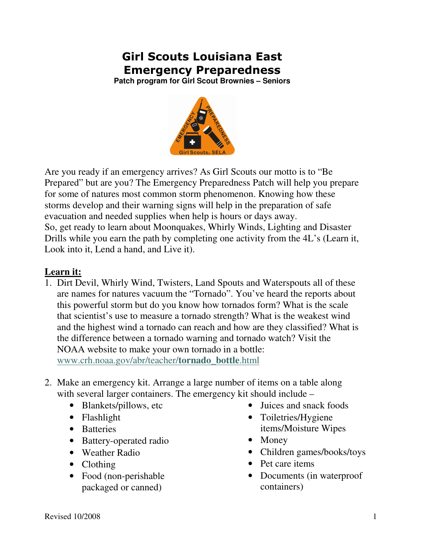# Girl Scouts Louisiana East Emergency Preparedness

**Patch program for Girl Scout Brownies – Seniors** 



Are you ready if an emergency arrives? As Girl Scouts our motto is to "Be Prepared" but are you? The Emergency Preparedness Patch will help you prepare for some of natures most common storm phenomenon. Knowing how these storms develop and their warning signs will help in the preparation of safe evacuation and needed supplies when help is hours or days away. So, get ready to learn about Moonquakes, Whirly Winds, Lighting and Disaster Drills while you earn the path by completing one activity from the 4L's (Learn it, Look into it, Lend a hand, and Live it).

## **Learn it:**

- 1. Dirt Devil, Whirly Wind, Twisters, Land Spouts and Waterspouts all of these are names for natures vacuum the "Tornado". You've heard the reports about this powerful storm but do you know how tornados form? What is the scale that scientist's use to measure a tornado strength? What is the weakest wind and the highest wind a tornado can reach and how are they classified? What is the difference between a tornado warning and tornado watch? Visit the NOAA website to make your own tornado in a bottle: www.crh.noaa.gov/abr/teacher/**tornado**\_**bottle**.html
- 2. Make an emergency kit. Arrange a large number of items on a table along with several larger containers. The emergency kit should include –
	- Blankets/pillows, etc
	- Flashlight
	- Batteries
	- Battery-operated radio
	- Weather Radio
	- Clothing
	- Food (non-perishable packaged or canned)
- Juices and snack foods
- Toiletries/Hygiene items/Moisture Wipes
- Money
- Children games/books/toys
- Pet care items
- Documents (in waterproof containers)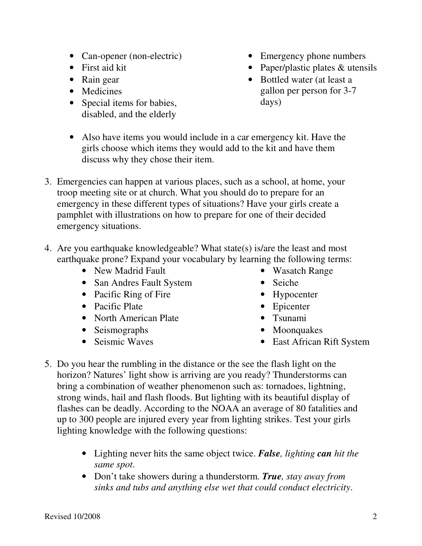- Can-opener (non-electric)
- First aid kit
- Rain gear
- Medicines
- Special items for babies, disabled, and the elderly
- Emergency phone numbers
- Paper/plastic plates & utensils
- Bottled water (at least a gallon per person for 3-7 days)
- Also have items you would include in a car emergency kit. Have the girls choose which items they would add to the kit and have them discuss why they chose their item.
- 3. Emergencies can happen at various places, such as a school, at home, your troop meeting site or at church. What you should do to prepare for an emergency in these different types of situations? Have your girls create a pamphlet with illustrations on how to prepare for one of their decided emergency situations.
- 4. Are you earthquake knowledgeable? What state(s) is/are the least and most earthquake prone? Expand your vocabulary by learning the following terms:
	- New Madrid Fault
	- San Andres Fault System
	- Pacific Ring of Fire
	- Pacific Plate
	- North American Plate
	- Seismographs
	- Seismic Waves
- Wasatch Range
- Seiche
- Hypocenter
- Epicenter
- Tsunami
- Moonquakes
- East African Rift System
- 5. Do you hear the rumbling in the distance or the see the flash light on the horizon? Natures' light show is arriving are you ready? Thunderstorms can bring a combination of weather phenomenon such as: tornadoes, lightning, strong winds, hail and flash floods. But lighting with its beautiful display of flashes can be deadly. According to the NOAA an average of 80 fatalities and up to 300 people are injured every year from lighting strikes. Test your girls lighting knowledge with the following questions:
	- Lighting never hits the same object twice. *False, lighting can hit the same spot*.
	- Don't take showers during a thunderstorm. *True, stay away from sinks and tubs and anything else wet that could conduct electricity*.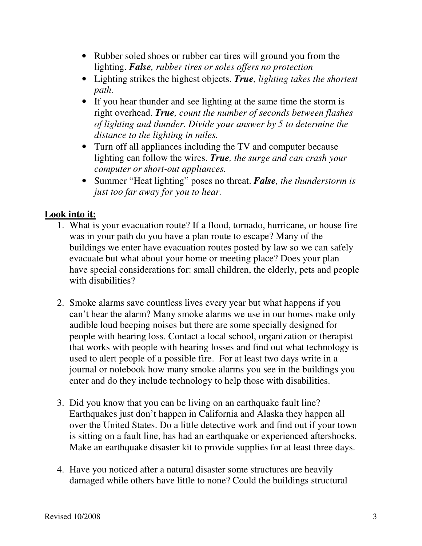- Rubber soled shoes or rubber car tires will ground you from the lighting. *False, rubber tires or soles offers no protection*
- Lighting strikes the highest objects. *True, lighting takes the shortest path.*
- If you hear thunder and see lighting at the same time the storm is right overhead. *True, count the number of seconds between flashes of lighting and thunder. Divide your answer by 5 to determine the distance to the lighting in miles.*
- Turn off all appliances including the TV and computer because lighting can follow the wires. *True, the surge and can crash your computer or short-out appliances.*
- Summer "Heat lighting" poses no threat. *False, the thunderstorm is just too far away for you to hear.*

### **Look into it:**

- 1. What is your evacuation route? If a flood, tornado, hurricane, or house fire was in your path do you have a plan route to escape? Many of the buildings we enter have evacuation routes posted by law so we can safely evacuate but what about your home or meeting place? Does your plan have special considerations for: small children, the elderly, pets and people with disabilities?
- 2. Smoke alarms save countless lives every year but what happens if you can't hear the alarm? Many smoke alarms we use in our homes make only audible loud beeping noises but there are some specially designed for people with hearing loss. Contact a local school, organization or therapist that works with people with hearing losses and find out what technology is used to alert people of a possible fire. For at least two days write in a journal or notebook how many smoke alarms you see in the buildings you enter and do they include technology to help those with disabilities.
- 3. Did you know that you can be living on an earthquake fault line? Earthquakes just don't happen in California and Alaska they happen all over the United States. Do a little detective work and find out if your town is sitting on a fault line, has had an earthquake or experienced aftershocks. Make an earthquake disaster kit to provide supplies for at least three days.
- 4. Have you noticed after a natural disaster some structures are heavily damaged while others have little to none? Could the buildings structural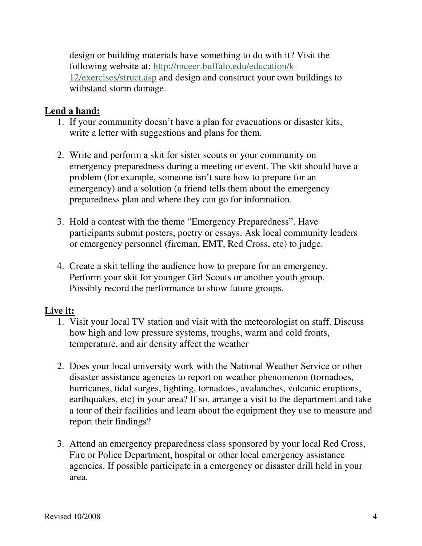design or building materials have something to do with it? Visit the following website at: http://mceer.buffalo.edu/education/k-12/exercises/struct.asp and design and construct your own buildings to withstand storm damage.

#### **Lend a hand:**

- 1. If your community doesn't have a plan for evacuations or disaster kits, write a letter with suggestions and plans for them.
- 2. Write and perform a skit for sister scouts or your community on emergency preparedness during a meeting or event. The skit should have a problem (for example, someone isn't sure how to prepare for an emergency) and a solution (a friend tells them about the emergency preparedness plan and where they can go for information.
- 3. Hold a contest with the theme "Emergency Preparedness". Have participants submit posters, poetry or essays. Ask local community leaders or emergency personnel (fireman, EMT, Red Cross, etc) to judge.
- 4. Create a skit telling the audience how to prepare for an emergency. Perform your skit for younger Girl Scouts or another youth group. Possibly record the performance to show future groups.

#### **Live it:**

- 1. Visit your local TV station and visit with the meteorologist on staff. Discuss how high and low pressure systems, troughs, warm and cold fronts, temperature, and air density affect the weather
- 2. Does your local university work with the National Weather Service or other disaster assistance agencies to report on weather phenomenon (tornadoes, hurricanes, tidal surges, lighting, tornadoes, avalanches, volcanic eruptions, earthquakes, etc) in your area? If so, arrange a visit to the department and take a tour of their facilities and learn about the equipment they use to measure and report their findings?
- 3. Attend an emergency preparedness class sponsored by your local Red Cross, Fire or Police Department, hospital or other local emergency assistance agencies. If possible participate in a emergency or disaster drill held in your area.